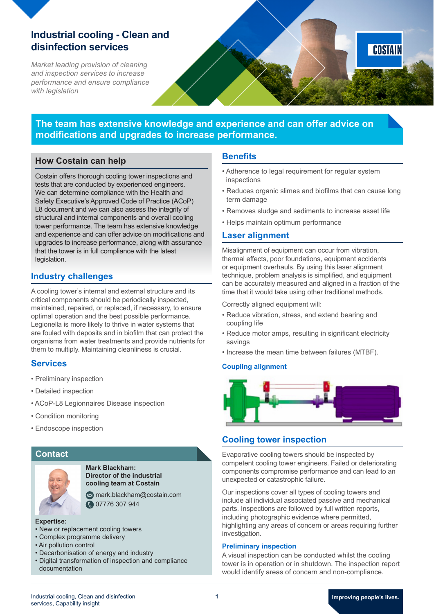# **Industrial cooling - Clean and disinfection services**

*Market leading provision of cleaning and inspection services to increase performance and ensure compliance with legislation*

# **The team has extensive knowledge and experience and can offer advice on modifications and upgrades to increase performance.**

# **How Costain can help**

Costain offers thorough cooling tower inspections and tests that are conducted by experienced engineers. We can determine compliance with the Health and Safety Executive's Approved Code of Practice (ACoP) L8 document and we can also assess the integrity of structural and internal components and overall cooling tower performance. The team has extensive knowledge and experience and can offer advice on modifications and upgrades to increase performance, along with assurance that the tower is in full compliance with the latest legislation.

# **Industry challenges**

A cooling tower's internal and external structure and its critical components should be periodically inspected, maintained, repaired, or replaced, if necessary, to ensure optimal operation and the best possible performance. Legionella is more likely to thrive in water systems that are fouled with deposits and in biofilm that can protect the organisms from water treatments and provide nutrients for them to multiply. Maintaining cleanliness is crucial.

## **Services**

- Preliminary inspection
- Detailed inspection
- ACoP-L8 Legionnaires Disease inspection
- Condition monitoring
- Endoscope inspection

## **Contact**



**Mark Blackham: Director of the industrial cooling team at Costain**

**Mark.blackham@costain.com @**07776 307 944

#### **Expertise:**

- New or replacement cooling towers
- Complex programme delivery
- Air pollution control
- Decarbonisation of energy and industry
- Digital transformation of inspection and compliance documentation

### **Benefits**

- Adherence to legal requirement for regular system inspections
- Reduces organic slimes and biofilms that can cause long term damage

COSTAIN

- Removes sludge and sediments to increase asset life
- Helps maintain optimum performance

### **Laser alignment**

Misalignment of equipment can occur from vibration, thermal effects, poor foundations, equipment accidents or equipment overhauls. By using this laser alignment technique, problem analysis is simplified, and equipment can be accurately measured and aligned in a fraction of the time that it would take using other traditional methods.

Correctly aligned equipment will:

- Reduce vibration, stress, and extend bearing and coupling life
- Reduce motor amps, resulting in significant electricity savings
- Increase the mean time between failures (MTBF).

### **Coupling alignment**



## **Cooling tower inspection**

Evaporative cooling towers should be inspected by competent cooling tower engineers. Failed or deteriorating components compromise performance and can lead to an unexpected or catastrophic failure.

Our inspections cover all types of cooling towers and include all individual associated passive and mechanical parts. Inspections are followed by full written reports, including photographic evidence where permitted, highlighting any areas of concern or areas requiring further investigation.

### **Preliminary inspection**

A visual inspection can be conducted whilst the cooling tower is in operation or in shutdown. The inspection report would identify areas of concern and non-compliance.